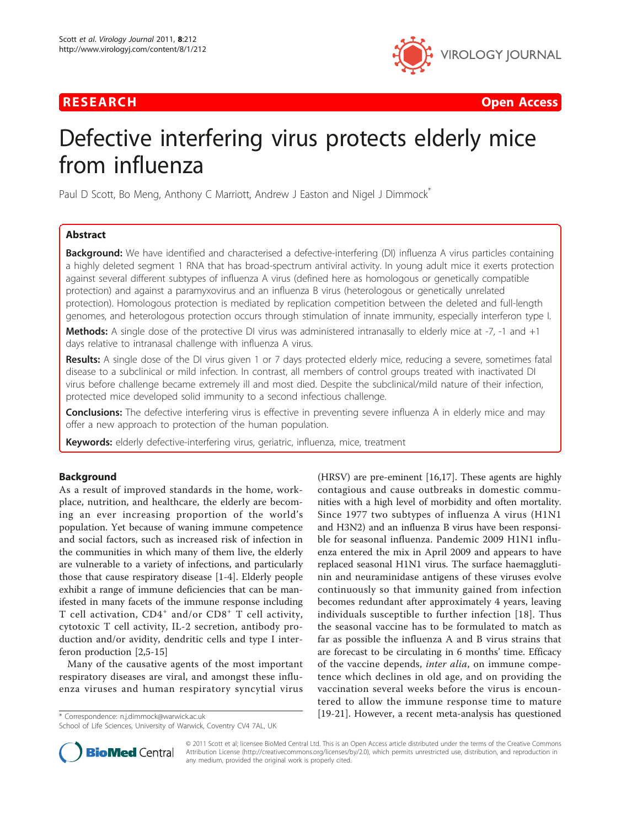

RESEARCH **CONTROL** CONTROL CONTROL CONTROL CONTROL CONTROL CONTROL CONTROL CONTROL CONTROL CONTROL CONTROL CONTROL

# Defective interfering virus protects elderly mice from influenza

Paul D Scott, Bo Meng, Anthony C Marriott, Andrew J Easton and Nigel J Dimmock<sup>\*</sup>

# Abstract

**Background:** We have identified and characterised a defective-interfering (DI) influenza A virus particles containing a highly deleted segment 1 RNA that has broad-spectrum antiviral activity. In young adult mice it exerts protection against several different subtypes of influenza A virus (defined here as homologous or genetically compatible protection) and against a paramyxovirus and an influenza B virus (heterologous or genetically unrelated protection). Homologous protection is mediated by replication competition between the deleted and full-length genomes, and heterologous protection occurs through stimulation of innate immunity, especially interferon type I.

Methods: A single dose of the protective DI virus was administered intranasally to elderly mice at -7, -1 and +1 days relative to intranasal challenge with influenza A virus.

Results: A single dose of the DI virus given 1 or 7 days protected elderly mice, reducing a severe, sometimes fatal disease to a subclinical or mild infection. In contrast, all members of control groups treated with inactivated DI virus before challenge became extremely ill and most died. Despite the subclinical/mild nature of their infection, protected mice developed solid immunity to a second infectious challenge.

**Conclusions:** The defective interfering virus is effective in preventing severe influenza A in elderly mice and may offer a new approach to protection of the human population.

Keywords: elderly defective-interfering virus, geriatric, influenza, mice, treatment

# **Background**

As a result of improved standards in the home, workplace, nutrition, and healthcare, the elderly are becoming an ever increasing proportion of the world's population. Yet because of waning immune competence and social factors, such as increased risk of infection in the communities in which many of them live, the elderly are vulnerable to a variety of infections, and particularly those that cause respiratory disease [[1-4](#page-5-0)]. Elderly people exhibit a range of immune deficiencies that can be manifested in many facets of the immune response including T cell activation,  $CD4^+$  and/or  $CD8^+$  T cell activity, cytotoxic T cell activity, IL-2 secretion, antibody production and/or avidity, dendritic cells and type I interferon production [[2,5-15\]](#page-5-0)

Many of the causative agents of the most important respiratory diseases are viral, and amongst these influenza viruses and human respiratory syncytial virus

School of Life Sciences, University of Warwick, Coventry CV4 7AL, UK





© 2011 Scott et al; licensee BioMed Central Ltd. This is an Open Access article distributed under the terms of the Creative Commons Attribution License [\(http://creativecommons.org/licenses/by/2.0](http://creativecommons.org/licenses/by/2.0)), which permits unrestricted use, distribution, and reproduction in any medium, provided the original work is properly cited.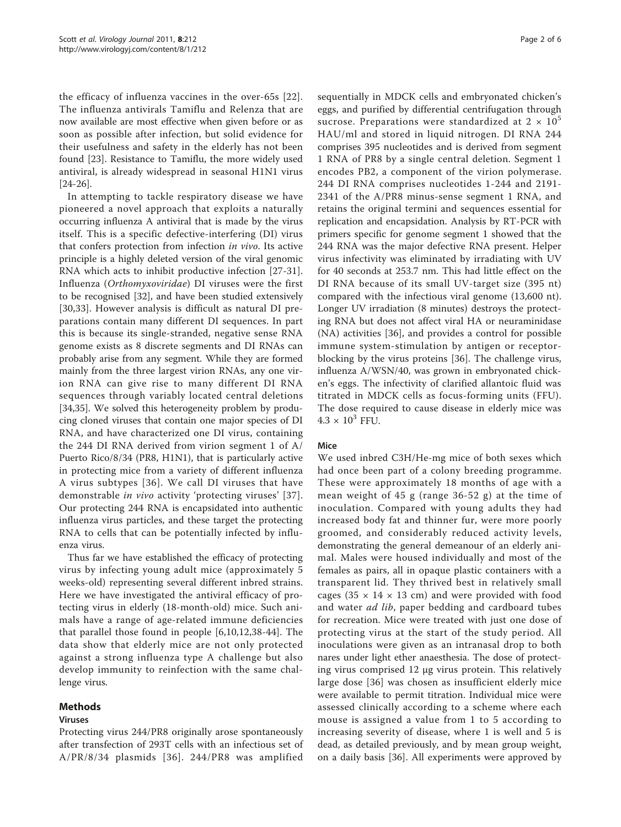the efficacy of influenza vaccines in the over-65s [[22\]](#page-5-0). The influenza antivirals Tamiflu and Relenza that are now available are most effective when given before or as soon as possible after infection, but solid evidence for their usefulness and safety in the elderly has not been found [\[23](#page-5-0)]. Resistance to Tamiflu, the more widely used antiviral, is already widespread in seasonal H1N1 virus [[24-26\]](#page-5-0).

In attempting to tackle respiratory disease we have pioneered a novel approach that exploits a naturally occurring influenza A antiviral that is made by the virus itself. This is a specific defective-interfering (DI) virus that confers protection from infection in vivo. Its active principle is a highly deleted version of the viral genomic RNA which acts to inhibit productive infection [[27-31](#page-5-0)]. Influenza (Orthomyxoviridae) DI viruses were the first to be recognised [\[32](#page-5-0)], and have been studied extensively [[30,33](#page-5-0)]. However analysis is difficult as natural DI preparations contain many different DI sequences. In part this is because its single-stranded, negative sense RNA genome exists as 8 discrete segments and DI RNAs can probably arise from any segment. While they are formed mainly from the three largest virion RNAs, any one virion RNA can give rise to many different DI RNA sequences through variably located central deletions [[34,35\]](#page-5-0). We solved this heterogeneity problem by producing cloned viruses that contain one major species of DI RNA, and have characterized one DI virus, containing the 244 DI RNA derived from virion segment 1 of A/ Puerto Rico/8/34 (PR8, H1N1), that is particularly active in protecting mice from a variety of different influenza A virus subtypes [[36\]](#page-5-0). We call DI viruses that have demonstrable in vivo activity 'protecting viruses' [[37\]](#page-5-0). Our protecting 244 RNA is encapsidated into authentic influenza virus particles, and these target the protecting RNA to cells that can be potentially infected by influenza virus.

Thus far we have established the efficacy of protecting virus by infecting young adult mice (approximately 5 weeks-old) representing several different inbred strains. Here we have investigated the antiviral efficacy of protecting virus in elderly (18-month-old) mice. Such animals have a range of age-related immune deficiencies that parallel those found in people [[6,10,12](#page-5-0),[38-44](#page-5-0)]. The data show that elderly mice are not only protected against a strong influenza type A challenge but also develop immunity to reinfection with the same challenge virus.

## Methods

## Viruses

Protecting virus 244/PR8 originally arose spontaneously after transfection of 293T cells with an infectious set of A/PR/8/34 plasmids [[36](#page-5-0)]. 244/PR8 was amplified sequentially in MDCK cells and embryonated chicken's eggs, and purified by differential centrifugation through sucrose. Preparations were standardized at  $2 \times 10^5$ HAU/ml and stored in liquid nitrogen. DI RNA 244 comprises 395 nucleotides and is derived from segment 1 RNA of PR8 by a single central deletion. Segment 1 encodes PB2, a component of the virion polymerase. 244 DI RNA comprises nucleotides 1-244 and 2191- 2341 of the A/PR8 minus-sense segment 1 RNA, and retains the original termini and sequences essential for replication and encapsidation. Analysis by RT-PCR with primers specific for genome segment 1 showed that the 244 RNA was the major defective RNA present. Helper virus infectivity was eliminated by irradiating with UV for 40 seconds at 253.7 nm. This had little effect on the DI RNA because of its small UV-target size (395 nt) compared with the infectious viral genome (13,600 nt). Longer UV irradiation (8 minutes) destroys the protecting RNA but does not affect viral HA or neuraminidase (NA) activities [\[36](#page-5-0)], and provides a control for possible immune system-stimulation by antigen or receptorblocking by the virus proteins [\[36\]](#page-5-0). The challenge virus, influenza A/WSN/40, was grown in embryonated chicken's eggs. The infectivity of clarified allantoic fluid was titrated in MDCK cells as focus-forming units (FFU). The dose required to cause disease in elderly mice was  $4.3 \times 10^{3}$  FFU.

## Mice

We used inbred C3H/He-mg mice of both sexes which had once been part of a colony breeding programme. These were approximately 18 months of age with a mean weight of 45 g (range 36-52 g) at the time of inoculation. Compared with young adults they had increased body fat and thinner fur, were more poorly groomed, and considerably reduced activity levels, demonstrating the general demeanour of an elderly animal. Males were housed individually and most of the females as pairs, all in opaque plastic containers with a transparent lid. They thrived best in relatively small cages (35  $\times$  14  $\times$  13 cm) and were provided with food and water *ad lib*, paper bedding and cardboard tubes for recreation. Mice were treated with just one dose of protecting virus at the start of the study period. All inoculations were given as an intranasal drop to both nares under light ether anaesthesia. The dose of protecting virus comprised 12 μg virus protein. This relatively large dose [[36](#page-5-0)] was chosen as insufficient elderly mice were available to permit titration. Individual mice were assessed clinically according to a scheme where each mouse is assigned a value from 1 to 5 according to increasing severity of disease, where 1 is well and 5 is dead, as detailed previously, and by mean group weight, on a daily basis [[36\]](#page-5-0). All experiments were approved by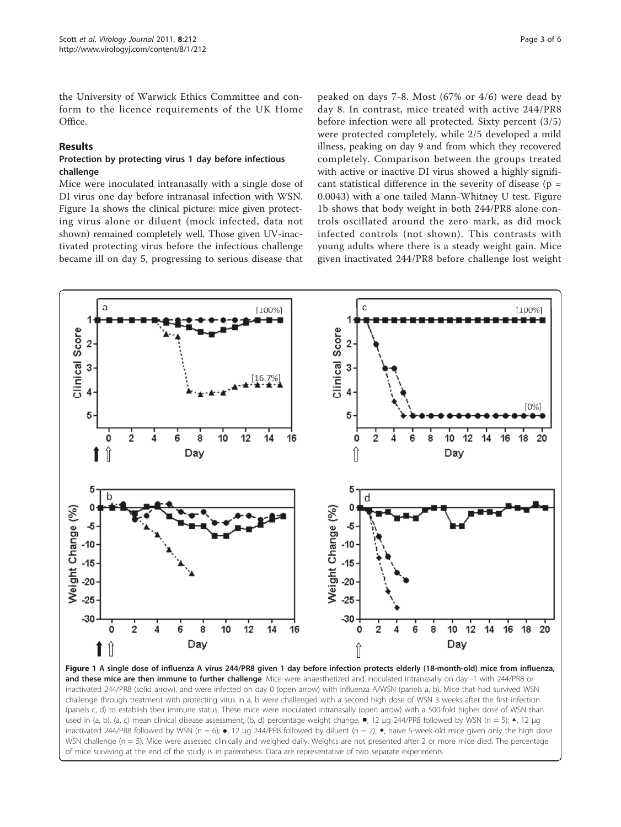<span id="page-2-0"></span>the University of Warwick Ethics Committee and conform to the licence requirements of the UK Home Office.

# Results

#### Protection by protecting virus 1 day before infectious challenge

Mice were inoculated intranasally with a single dose of DI virus one day before intranasal infection with WSN. Figure 1a shows the clinical picture: mice given protecting virus alone or diluent (mock infected, data not shown) remained completely well. Those given UV-inactivated protecting virus before the infectious challenge became ill on day 5, progressing to serious disease that

peaked on days 7-8. Most (67% or 4/6) were dead by day 8. In contrast, mice treated with active 244/PR8 before infection were all protected. Sixty percent (3/5) were protected completely, while 2/5 developed a mild illness, peaking on day 9 and from which they recovered completely. Comparison between the groups treated with active or inactive DI virus showed a highly significant statistical difference in the severity of disease  $(p =$ 0.0043) with a one tailed Mann-Whitney U test. Figure 1b shows that body weight in both 244/PR8 alone controls oscillated around the zero mark, as did mock infected controls (not shown). This contrasts with young adults where there is a steady weight gain. Mice given inactivated 244/PR8 before challenge lost weight



Figure 1 A single dose of influenza A virus 244/PR8 given 1 day before infection protects elderly (18-month-old) mice from influenza, and these mice are then immune to further challenge. Mice were anaesthetized and inoculated intranasally on day -1 with 244/PR8 or inactivated 244/PR8 (solid arrow), and were infected on day 0 (open arrow) with influenza A/WSN (panels a, b). Mice that had survived WSN challenge through treatment with protecting virus in a, b were challenged with a second high dose of WSN 3 weeks after the first infection (panels c, d) to establish their immune status. These mice were inoculated intranasally (open arrow) with a 500-fold higher dose of WSN than used in (a, b). (a, c) mean clinical disease assessment; (b, d) percentage weight change. ■, 12 μg 244/PR8 followed by WSN (n = 5); ▲, 12 μg inactivated 244/PR8 followed by WSN (n = 6); •, 12 µg 244/PR8 followed by diluent (n = 2); •, naïve 5-week-old mice given only the high dose WSN challenge (n = 5). Mice were assessed clinically and weighed daily. Weights are not presented after 2 or more mice died. The percentage of mice surviving at the end of the study is in parenthesis. Data are representative of two separate experiments.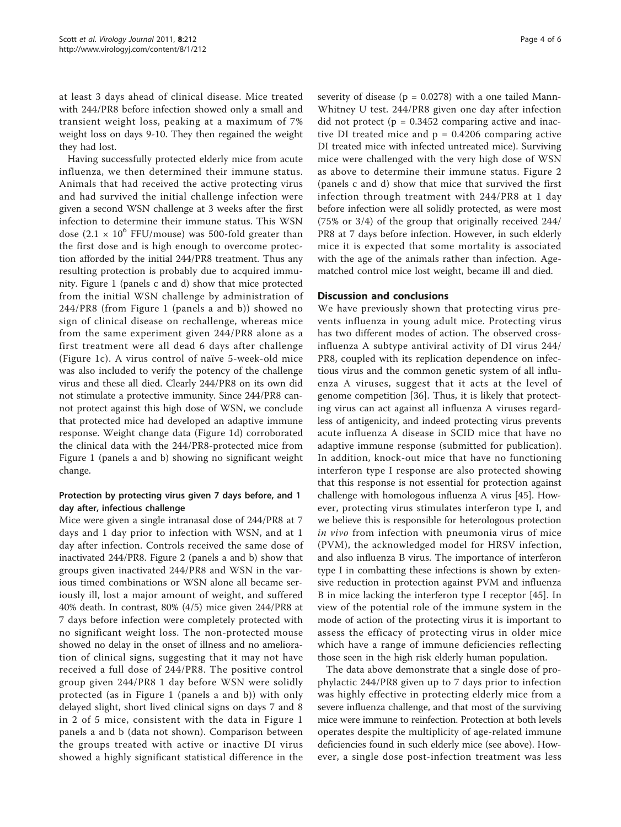at least 3 days ahead of clinical disease. Mice treated with 244/PR8 before infection showed only a small and transient weight loss, peaking at a maximum of 7% weight loss on days 9-10. They then regained the weight they had lost.

Having successfully protected elderly mice from acute influenza, we then determined their immune status. Animals that had received the active protecting virus and had survived the initial challenge infection were given a second WSN challenge at 3 weeks after the first infection to determine their immune status. This WSN dose (2.1  $\times$  10<sup>6</sup> FFU/mouse) was 500-fold greater than the first dose and is high enough to overcome protection afforded by the initial 244/PR8 treatment. Thus any resulting protection is probably due to acquired immunity. Figure [1](#page-2-0) (panels c and d) show that mice protected from the initial WSN challenge by administration of 244/PR8 (from Figure [1](#page-2-0) (panels a and b)) showed no sign of clinical disease on rechallenge, whereas mice from the same experiment given 244/PR8 alone as a first treatment were all dead 6 days after challenge (Figure [1c\)](#page-2-0). A virus control of naïve 5-week-old mice was also included to verify the potency of the challenge virus and these all died. Clearly 244/PR8 on its own did not stimulate a protective immunity. Since 244/PR8 cannot protect against this high dose of WSN, we conclude that protected mice had developed an adaptive immune response. Weight change data (Figure [1d\)](#page-2-0) corroborated the clinical data with the 244/PR8-protected mice from Figure [1](#page-2-0) (panels a and b) showing no significant weight change.

# Protection by protecting virus given 7 days before, and 1 day after, infectious challenge

Mice were given a single intranasal dose of 244/PR8 at 7 days and 1 day prior to infection with WSN, and at 1 day after infection. Controls received the same dose of inactivated 244/PR8. Figure [2](#page-4-0) (panels a and b) show that groups given inactivated 244/PR8 and WSN in the various timed combinations or WSN alone all became seriously ill, lost a major amount of weight, and suffered 40% death. In contrast, 80% (4/5) mice given 244/PR8 at 7 days before infection were completely protected with no significant weight loss. The non-protected mouse showed no delay in the onset of illness and no amelioration of clinical signs, suggesting that it may not have received a full dose of 244/PR8. The positive control group given 244/PR8 1 day before WSN were solidly protected (as in Figure [1](#page-2-0) (panels a and b)) with only delayed slight, short lived clinical signs on days 7 and 8 in 2 of 5 mice, consistent with the data in Figure [1](#page-2-0) panels a and b (data not shown). Comparison between the groups treated with active or inactive DI virus showed a highly significant statistical difference in the

severity of disease ( $p = 0.0278$ ) with a one tailed Mann-Whitney U test. 244/PR8 given one day after infection did not protect ( $p = 0.3452$  comparing active and inactive DI treated mice and  $p = 0.4206$  comparing active DI treated mice with infected untreated mice). Surviving mice were challenged with the very high dose of WSN as above to determine their immune status. Figure [2](#page-4-0) (panels c and d) show that mice that survived the first infection through treatment with 244/PR8 at 1 day before infection were all solidly protected, as were most (75% or 3/4) of the group that originally received 244/ PR8 at 7 days before infection. However, in such elderly mice it is expected that some mortality is associated with the age of the animals rather than infection. Agematched control mice lost weight, became ill and died.

# Discussion and conclusions

We have previously shown that protecting virus prevents influenza in young adult mice. Protecting virus has two different modes of action. The observed crossinfluenza A subtype antiviral activity of DI virus 244/ PR8, coupled with its replication dependence on infectious virus and the common genetic system of all influenza A viruses, suggest that it acts at the level of genome competition [[36\]](#page-5-0). Thus, it is likely that protecting virus can act against all influenza A viruses regardless of antigenicity, and indeed protecting virus prevents acute influenza A disease in SCID mice that have no adaptive immune response (submitted for publication). In addition, knock-out mice that have no functioning interferon type I response are also protected showing that this response is not essential for protection against challenge with homologous influenza A virus [\[45\]](#page-5-0). However, protecting virus stimulates interferon type I, and we believe this is responsible for heterologous protection in vivo from infection with pneumonia virus of mice (PVM), the acknowledged model for HRSV infection, and also influenza B virus. The importance of interferon type I in combatting these infections is shown by extensive reduction in protection against PVM and influenza B in mice lacking the interferon type I receptor [\[45](#page-5-0)]. In view of the potential role of the immune system in the mode of action of the protecting virus it is important to assess the efficacy of protecting virus in older mice which have a range of immune deficiencies reflecting those seen in the high risk elderly human population.

The data above demonstrate that a single dose of prophylactic 244/PR8 given up to 7 days prior to infection was highly effective in protecting elderly mice from a severe influenza challenge, and that most of the surviving mice were immune to reinfection. Protection at both levels operates despite the multiplicity of age-related immune deficiencies found in such elderly mice (see above). However, a single dose post-infection treatment was less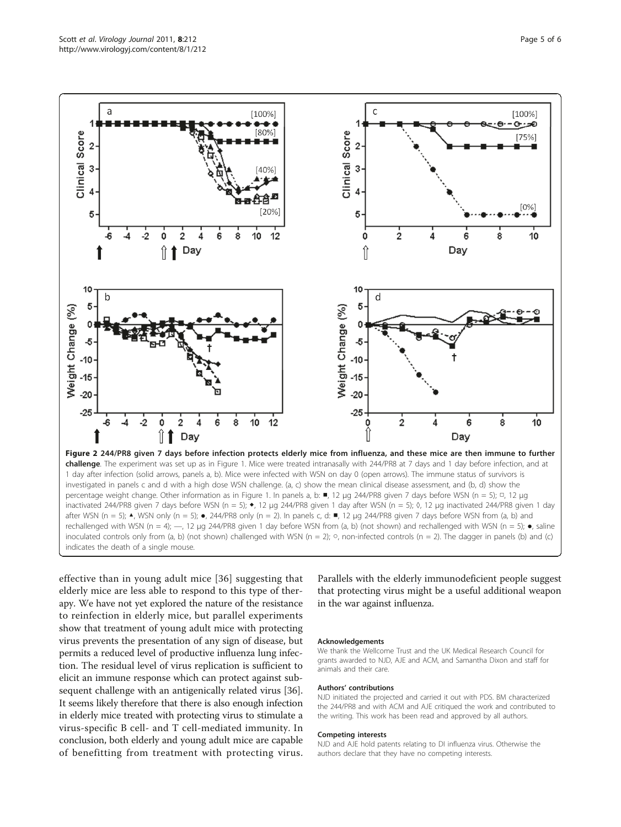<span id="page-4-0"></span>

1 day after infection (solid arrows, panels a, b). Mice were infected with WSN on day 0 (open arrows). The immune status of survivors is investigated in panels c and d with a high dose WSN challenge. (a, c) show the mean clinical disease assessment, and (b, d) show the percentage weight change. Other information as in Figure 1. In panels a, b: ■, 12 μg 244/PR8 given 7 days before WSN (n = 5); □, 12 μg inactivated 244/PR8 given 7 days before WSN (n = 5); ◆, 12 μg 244/PR8 given 1 day after WSN (n = 5); ◊, 12 μg inactivated 244/PR8 given 1 day after WSN (n = 5);  $\triangle$ , WSN only (n = 5);  $\bullet$ , 244/PR8 only (n = 2). In panels c, d:  $\blacksquare$ , 12 µg 244/PR8 given 7 days before WSN from (a, b) and rechallenged with WSN (n = 4);  $-$ , 12 µg 244/PR8 given 1 day before WSN from (a, b) (not shown) and rechallenged with WSN (n = 5);  $\bullet$ , saline inoculated controls only from (a, b) (not shown) challenged with WSN (n = 2); o, non-infected controls (n = 2). The dagger in panels (b) and (c) indicates the death of a single mouse.

effective than in young adult mice [[36\]](#page-5-0) suggesting that elderly mice are less able to respond to this type of therapy. We have not yet explored the nature of the resistance to reinfection in elderly mice, but parallel experiments show that treatment of young adult mice with protecting virus prevents the presentation of any sign of disease, but permits a reduced level of productive influenza lung infection. The residual level of virus replication is sufficient to elicit an immune response which can protect against subsequent challenge with an antigenically related virus [\[36](#page-5-0)]. It seems likely therefore that there is also enough infection in elderly mice treated with protecting virus to stimulate a virus-specific B cell- and T cell-mediated immunity. In conclusion, both elderly and young adult mice are capable of benefitting from treatment with protecting virus.

Parallels with the elderly immunodeficient people suggest that protecting virus might be a useful additional weapon in the war against influenza.

#### Acknowledgements

We thank the Wellcome Trust and the UK Medical Research Council for grants awarded to NJD, AJE and ACM, and Samantha Dixon and staff for animals and their care.

#### Authors' contributions

NJD initiated the projected and carried it out with PDS. BM characterized the 244/PR8 and with ACM and AJE critiqued the work and contributed to the writing. This work has been read and approved by all authors.

#### Competing interests

NJD and AJE hold patents relating to DI influenza virus. Otherwise the authors declare that they have no competing interests.